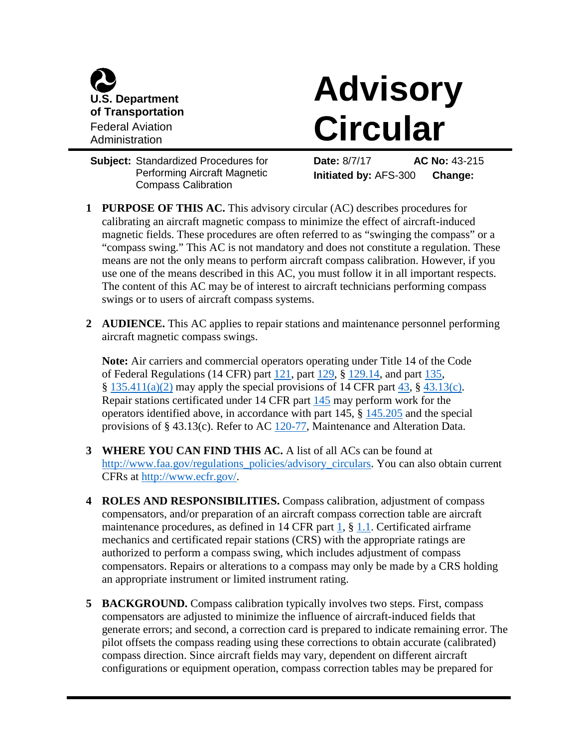

# **Advisory Circular**

**Subject:** Standardized Procedures for Performing Aircraft Magnetic Compass Calibration

**Date:** 8/7/17 **AC No:** 43-215 **Initiated by:** AFS-300 **Change:**

- **1 PURPOSE OF THIS AC.** This advisory circular (AC) describes procedures for calibrating an aircraft magnetic compass to minimize the effect of aircraft-induced magnetic fields. These procedures are often referred to as "swinging the compass" or a "compass swing." This AC is not mandatory and does not constitute a regulation. These means are not the only means to perform aircraft compass calibration. However, if you use one of the means described in this AC, you must follow it in all important respects. The content of this AC may be of interest to aircraft technicians performing compass swings or to users of aircraft compass systems.
- **2 AUDIENCE.** This AC applies to repair stations and maintenance personnel performing aircraft magnetic compass swings.

**Note:** Air carriers and commercial operators operating under Title 14 of the Code of Federal Regulations (14 CFR) part [121,](https://www.ecfr.gov/cgi-bin/text-idx?SID=11f83af91a159b476c9967d254eba20b&mc=true&node=pt14.3.121&rgn=div5) part [129,](https://www.ecfr.gov/cgi-bin/text-idx?SID=11f83af91a159b476c9967d254eba20b&mc=true&node=pt14.3.129&rgn=div5) § [129.14,](https://www.ecfr.gov/cgi-bin/text-idx?SID=11f83af91a159b476c9967d254eba20b&mc=true&node=se14.3.129_114&rgn=div8) and part [135,](https://www.ecfr.gov/cgi-bin/text-idx?SID=11f83af91a159b476c9967d254eba20b&mc=true&node=pt14.3.135&rgn=div5)  $\S$  [135.411\(a\)\(2\)](https://www.ecfr.gov/cgi-bin/text-idx?SID=11f83af91a159b476c9967d254eba20b&mc=true&node=se14.3.135_1411&rgn=div8) may apply the special provisions of 14 CFR part [43,](https://www.ecfr.gov/cgi-bin/text-idx?SID=11f83af91a159b476c9967d254eba20b&mc=true&node=pt14.1.43&rgn=div5)  $\S$  [43.13\(c\).](https://www.ecfr.gov/cgi-bin/text-idx?SID=11f83af91a159b476c9967d254eba20b&mc=true&node=se14.1.43_113&rgn=div8) Repair stations certificated under 14 CFR part [145](https://www.ecfr.gov/cgi-bin/text-idx?SID=11f83af91a159b476c9967d254eba20b&mc=true&node=pt14.3.145&rgn=div5) may perform work for the operators identified above, in accordance with part 145, § [145.205](https://www.ecfr.gov/cgi-bin/text-idx?SID=11f83af91a159b476c9967d254eba20b&mc=true&node=se14.3.145_1205&rgn=div8) and the special provisions of § 43.13(c). Refer to AC [120-77,](https://www.faa.gov/regulations_policies/advisory_circulars/index.cfm/go/document.information/documentID/23223) Maintenance and Alteration Data.

- **3 WHERE YOU CAN FIND THIS AC.** A list of all ACs can be found at [http://www.faa.gov/regulations\\_policies/advisory\\_circulars.](http://www.faa.gov/regulations_policies/advisory_circulars) You can also obtain current CFRs at [http://www.ecfr.gov/.](http://www.ecfr.gov/)
- **4 ROLES AND RESPONSIBILITIES.** Compass calibration, adjustment of compass compensators, and/or preparation of an aircraft compass correction table are aircraft maintenance procedures, as defined in 14 CFR part [1,](https://www.ecfr.gov/cgi-bin/text-idx?SID=11f83af91a159b476c9967d254eba20b&mc=true&node=pt14.1.1&rgn=div5) § [1.1.](https://www.ecfr.gov/cgi-bin/text-idx?SID=11f83af91a159b476c9967d254eba20b&mc=true&node=se14.1.1_11&rgn=div8) Certificated airframe mechanics and certificated repair stations (CRS) with the appropriate ratings are authorized to perform a compass swing, which includes adjustment of compass compensators. Repairs or alterations to a compass may only be made by a CRS holding an appropriate instrument or limited instrument rating.
- **5 BACKGROUND.** Compass calibration typically involves two steps. First, compass compensators are adjusted to minimize the influence of aircraft-induced fields that generate errors; and second, a correction card is prepared to indicate remaining error. The pilot offsets the compass reading using these corrections to obtain accurate (calibrated) compass direction. Since aircraft fields may vary, dependent on different aircraft configurations or equipment operation, compass correction tables may be prepared for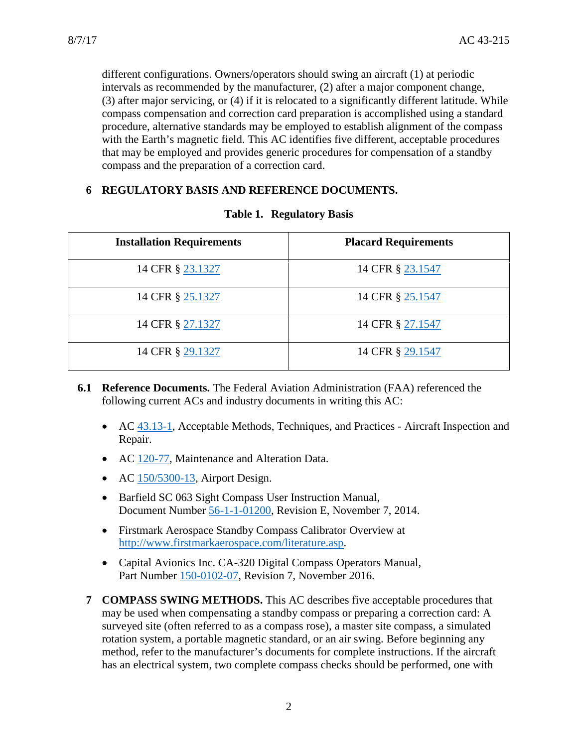different configurations. Owners/operators should swing an aircraft (1) at periodic intervals as recommended by the manufacturer, (2) after a major component change, (3) after major servicing, or (4) if it is relocated to a significantly different latitude. While compass compensation and correction card preparation is accomplished using a standard procedure, alternative standards may be employed to establish alignment of the compass with the Earth's magnetic field. This AC identifies five different, acceptable procedures that may be employed and provides generic procedures for compensation of a standby compass and the preparation of a correction card.

### **6 REGULATORY BASIS AND REFERENCE DOCUMENTS.**

| <b>Installation Requirements</b> | <b>Placard Requirements</b> |
|----------------------------------|-----------------------------|
| 14 CFR § 23.1327                 | 14 CFR § 23.1547            |
| 14 CFR § 25.1327                 | 14 CFR § 25.1547            |
| 14 CFR § 27.1327                 | 14 CFR § 27.1547            |
| 14 CFR § 29.1327                 | 14 CFR § 29.1547            |

#### **Table 1. Regulatory Basis**

- **6.1 Reference Documents.** The Federal Aviation Administration (FAA) referenced the following current ACs and industry documents in writing this AC:
	- AC [43.13-1,](https://www.faa.gov/regulations_policies/advisory_circulars/index.cfm/go/document.information/documentID/99861) Acceptable Methods, Techniques, and Practices Aircraft Inspection and Repair.
	- AC [120-77,](https://www.faa.gov/regulations_policies/advisory_circulars/index.cfm/go/document.information/documentID/23223) Maintenance and Alteration Data.
	- AC  $150/5300-13$ , Airport Design.
	- Barfield SC 063 Sight Compass User Instruction Manual, Document Number [56-1-1-01200,](http://www.barfieldinc.com/assets/files/manuals/56-101-01200-E.pdf) Revision E, November 7, 2014.
	- Firstmark Aerospace Standby Compass Calibrator Overview at [http://www.firstmarkaerospace.com/literature.asp.](http://www.firstmarkaerospace.com/literature.asp)
	- Capital Avionics Inc. CA-320 Digital Compass Operators Manual, Part Number [150-0102-07,](http://capitalavionics.com/test-equipment/compass-correction/) Revision 7, November 2016.
	- **7 COMPASS SWING METHODS.** This AC describes five acceptable procedures that may be used when compensating a standby compass or preparing a correction card: A surveyed site (often referred to as a compass rose), a master site compass, a simulated rotation system, a portable magnetic standard, or an air swing. Before beginning any method, refer to the manufacturer's documents for complete instructions. If the aircraft has an electrical system, two complete compass checks should be performed, one with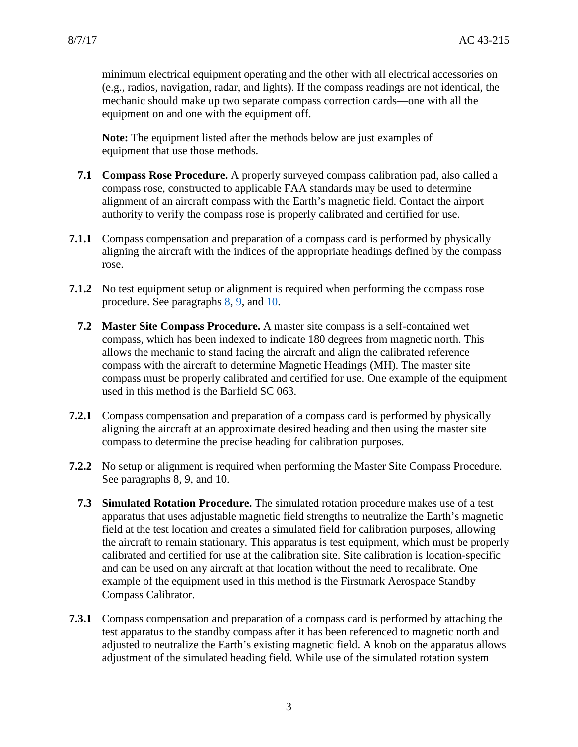minimum electrical equipment operating and the other with all electrical accessories on (e.g., radios, navigation, radar, and lights). If the compass readings are not identical, the mechanic should make up two separate compass correction cards—one with all the equipment on and one with the equipment off.

**Note:** The equipment listed after the methods below are just examples of equipment that use those methods.

- **7.1 Compass Rose Procedure.** A properly surveyed compass calibration pad, also called a compass rose, constructed to applicable FAA standards may be used to determine alignment of an aircraft compass with the Earth's magnetic field. Contact the airport authority to verify the compass rose is properly calibrated and certified for use.
- **7.1.1** Compass compensation and preparation of a compass card is performed by physically aligning the aircraft with the indices of the appropriate headings defined by the compass rose.
- **7.1.2** No test equipment setup or alignment is required when performing the compass rose procedure. See paragraphs [8,](#page-4-0) [9,](#page-4-1) and [10.](#page-5-0)
	- **7.2 Master Site Compass Procedure.** A master site compass is a self-contained wet compass, which has been indexed to indicate 180 degrees from magnetic north. This allows the mechanic to stand facing the aircraft and align the calibrated reference compass with the aircraft to determine Magnetic Headings (MH). The master site compass must be properly calibrated and certified for use. One example of the equipment used in this method is the Barfield SC 063.
- **7.2.1** Compass compensation and preparation of a compass card is performed by physically aligning the aircraft at an approximate desired heading and then using the master site compass to determine the precise heading for calibration purposes.
- **7.2.2** No setup or alignment is required when performing the Master Site Compass Procedure. See paragraphs 8, 9, and 10.
	- **7.3 Simulated Rotation Procedure.** The simulated rotation procedure makes use of a test apparatus that uses adjustable magnetic field strengths to neutralize the Earth's magnetic field at the test location and creates a simulated field for calibration purposes, allowing the aircraft to remain stationary. This apparatus is test equipment, which must be properly calibrated and certified for use at the calibration site. Site calibration is location-specific and can be used on any aircraft at that location without the need to recalibrate. One example of the equipment used in this method is the Firstmark Aerospace Standby Compass Calibrator.
- **7.3.1** Compass compensation and preparation of a compass card is performed by attaching the test apparatus to the standby compass after it has been referenced to magnetic north and adjusted to neutralize the Earth's existing magnetic field. A knob on the apparatus allows adjustment of the simulated heading field. While use of the simulated rotation system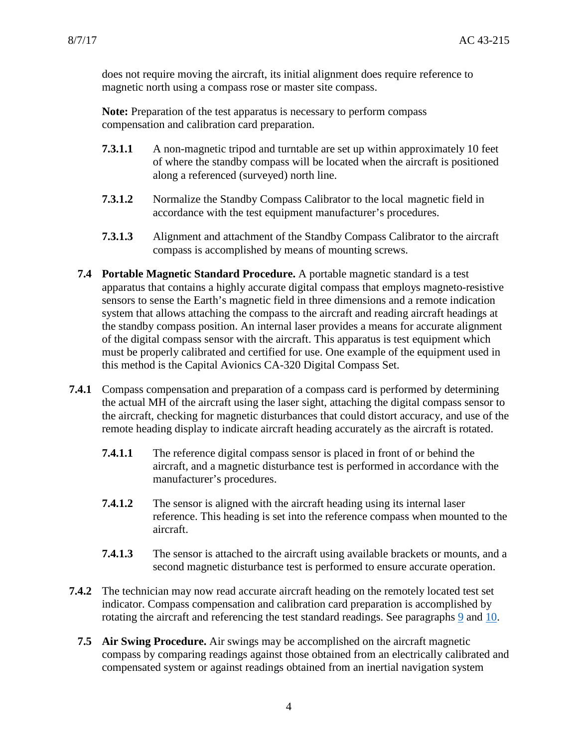does not require moving the aircraft, its initial alignment does require reference to magnetic north using a compass rose or master site compass.

**Note:** Preparation of the test apparatus is necessary to perform compass compensation and calibration card preparation.

- **7.3.1.1** A non-magnetic tripod and turntable are set up within approximately 10 feet of where the standby compass will be located when the aircraft is positioned along a referenced (surveyed) north line.
- **7.3.1.2** Normalize the Standby Compass Calibrator to the local magnetic field in accordance with the test equipment manufacturer's procedures.
- **7.3.1.3** Alignment and attachment of the Standby Compass Calibrator to the aircraft compass is accomplished by means of mounting screws.
- **7.4 Portable Magnetic Standard Procedure.** A portable magnetic standard is a test apparatus that contains a highly accurate digital compass that employs magneto-resistive sensors to sense the Earth's magnetic field in three dimensions and a remote indication system that allows attaching the compass to the aircraft and reading aircraft headings at the standby compass position. An internal laser provides a means for accurate alignment of the digital compass sensor with the aircraft. This apparatus is test equipment which must be properly calibrated and certified for use. One example of the equipment used in this method is the Capital Avionics CA-320 Digital Compass Set.
- **7.4.1** Compass compensation and preparation of a compass card is performed by determining the actual MH of the aircraft using the laser sight, attaching the digital compass sensor to the aircraft, checking for magnetic disturbances that could distort accuracy, and use of the remote heading display to indicate aircraft heading accurately as the aircraft is rotated.
	- **7.4.1.1** The reference digital compass sensor is placed in front of or behind the aircraft, and a magnetic disturbance test is performed in accordance with the manufacturer's procedures.
	- **7.4.1.2** The sensor is aligned with the aircraft heading using its internal laser reference. This heading is set into the reference compass when mounted to the aircraft.
	- **7.4.1.3** The sensor is attached to the aircraft using available brackets or mounts, and a second magnetic disturbance test is performed to ensure accurate operation.
- **7.4.2** The technician may now read accurate aircraft heading on the remotely located test set indicator. Compass compensation and calibration card preparation is accomplished by rotating the aircraft and referencing the test standard readings. See paragraphs [9](#page-4-1) and [10.](#page-5-0)
	- **7.5 Air Swing Procedure.** Air swings may be accomplished on the aircraft magnetic compass by comparing readings against those obtained from an electrically calibrated and compensated system or against readings obtained from an inertial navigation system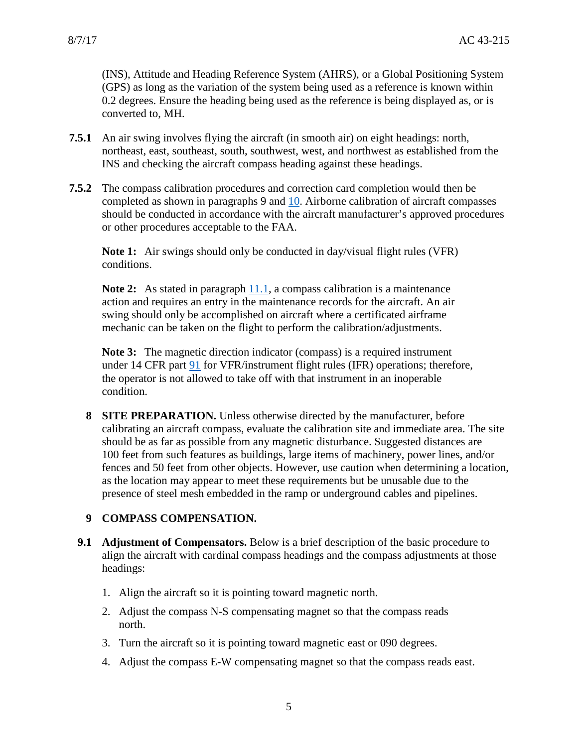(INS), Attitude and Heading Reference System (AHRS), or a Global Positioning System (GPS) as long as the variation of the system being used as a reference is known within 0.2 degrees. Ensure the heading being used as the reference is being displayed as, or is converted to, MH.

- **7.5.1** An air swing involves flying the aircraft (in smooth air) on eight headings: north, northeast, east, southeast, south, southwest, west, and northwest as established from the INS and checking the aircraft compass heading against these headings.
- **7.5.2** The compass calibration procedures and correction card completion would then be completed as shown in paragraphs 9 and [10.](#page-5-0) Airborne calibration of aircraft compasses should be conducted in accordance with the aircraft manufacturer's approved procedures or other procedures acceptable to the FAA.

**Note 1:** Air swings should only be conducted in day/visual flight rules (VFR) conditions.

**Note 2:** As stated in paragraph **11.1**, a compass calibration is a maintenance action and requires an entry in the maintenance records for the aircraft. An air swing should only be accomplished on aircraft where a certificated airframe mechanic can be taken on the flight to perform the calibration/adjustments.

**Note 3:** The magnetic direction indicator (compass) is a required instrument under 14 CFR part [91](https://www.ecfr.gov/cgi-bin/text-idx?SID=11f83af91a159b476c9967d254eba20b&mc=true&node=pt14.2.91&rgn=div5) for VFR/instrument flight rules (IFR) operations; therefore, the operator is not allowed to take off with that instrument in an inoperable condition.

<span id="page-4-0"></span>**8 SITE PREPARATION.** Unless otherwise directed by the manufacturer, before calibrating an aircraft compass, evaluate the calibration site and immediate area. The site should be as far as possible from any magnetic disturbance. Suggested distances are 100 feet from such features as buildings, large items of machinery, power lines, and/or fences and 50 feet from other objects. However, use caution when determining a location, as the location may appear to meet these requirements but be unusable due to the presence of steel mesh embedded in the ramp or underground cables and pipelines.

### <span id="page-4-1"></span>**9 COMPASS COMPENSATION.**

- **9.1 Adjustment of Compensators.** Below is a brief description of the basic procedure to align the aircraft with cardinal compass headings and the compass adjustments at those headings:
	- 1. Align the aircraft so it is pointing toward magnetic north.
	- 2. Adjust the compass N-S compensating magnet so that the compass reads north.
	- 3. Turn the aircraft so it is pointing toward magnetic east or 090 degrees.
	- 4. Adjust the compass E-W compensating magnet so that the compass reads east.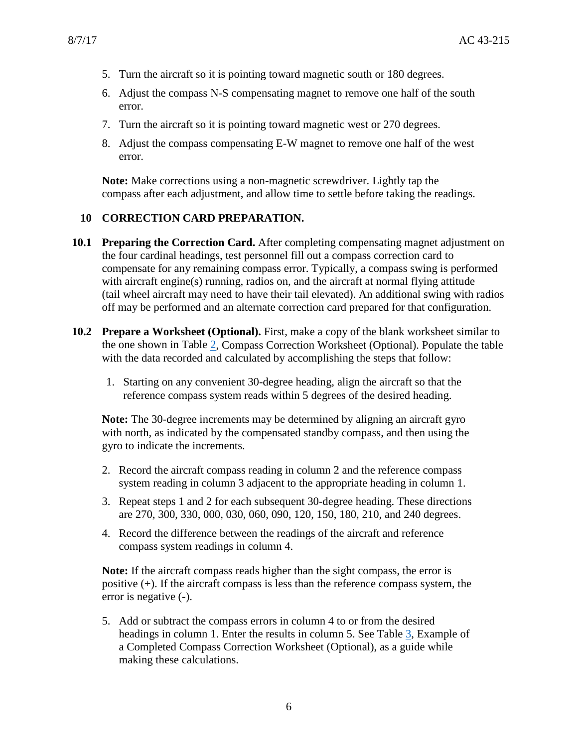- 5. Turn the aircraft so it is pointing toward magnetic south or 180 degrees.
- 6. Adjust the compass N-S compensating magnet to remove one half of the south error.
- 7. Turn the aircraft so it is pointing toward magnetic west or 270 degrees.
- 8. Adjust the compass compensating E-W magnet to remove one half of the west error.

**Note:** Make corrections using a non-magnetic screwdriver. Lightly tap the compass after each adjustment, and allow time to settle before taking the readings.

#### <span id="page-5-0"></span>**10 CORRECTION CARD PREPARATION.**

- **10.1 Preparing the Correction Card.** After completing compensating magnet adjustment on the four cardinal headings, test personnel fill out a compass correction card to compensate for any remaining compass error. Typically, a compass swing is performed with aircraft engine(s) running, radios on, and the aircraft at normal flying attitude (tail wheel aircraft may need to have their tail elevated). An additional swing with radios off may be performed and an alternate correction card prepared for that configuration.
- **10.2 Prepare a Worksheet (Optional).** First, make a copy of the blank worksheet similar to the one shown in Table [2,](#page-6-0) Compass Correction Worksheet (Optional). Populate the table with the data recorded and calculated by accomplishing the steps that follow:
	- 1. Starting on any convenient 30-degree heading, align the aircraft so that the reference compass system reads within 5 degrees of the desired heading.

**Note:** The 30-degree increments may be determined by aligning an aircraft gyro with north, as indicated by the compensated standby compass, and then using the gyro to indicate the increments.

- 2. Record the aircraft compass reading in column 2 and the reference compass system reading in column 3 adjacent to the appropriate heading in column 1.
- 3. Repeat steps 1 and 2 for each subsequent 30-degree heading. These directions are 270, 300, 330, 000, 030, 060, 090, 120, 150, 180, 210, and 240 degrees.
- 4. Record the difference between the readings of the aircraft and reference compass system readings in column 4.

**Note:** If the aircraft compass reads higher than the sight compass, the error is positive (+). If the aircraft compass is less than the reference compass system, the error is negative (-).

5. Add or subtract the compass errors in column 4 to or from the desired headings in column 1. Enter the results in column 5. See Table [3,](#page-7-0) Example of a Completed Compass Correction Worksheet (Optional), as a guide while making these calculations.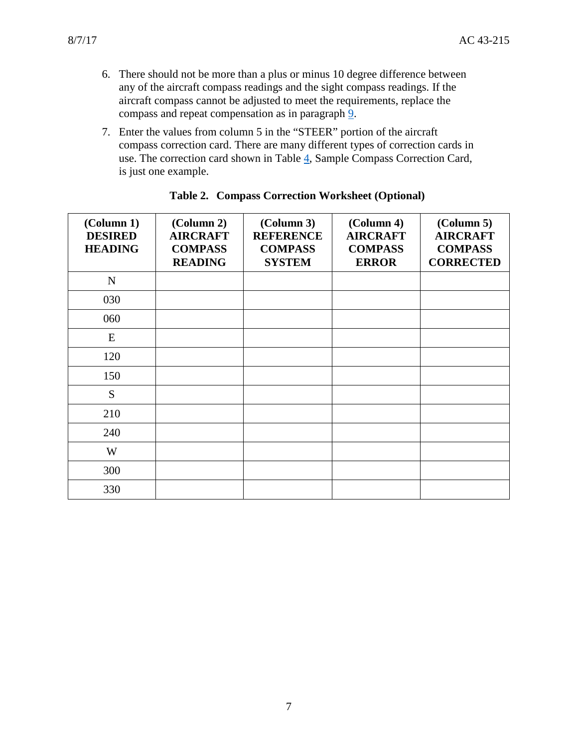- 6. There should not be more than a plus or minus 10 degree difference between any of the aircraft compass readings and the sight compass readings. If the aircraft compass cannot be adjusted to meet the requirements, replace the compass and repeat compensation as in paragraph [9.](#page-4-1)
- 7. Enter the values from column 5 in the "STEER" portion of the aircraft compass correction card. There are many different types of correction cards in use. The correction card shown in Table [4,](#page-7-1) Sample Compass Correction Card, is just one example.

<span id="page-6-0"></span>

| (Column 1)<br><b>DESIRED</b><br><b>HEADING</b> | (Column 2)<br><b>AIRCRAFT</b><br><b>COMPASS</b><br><b>READING</b> | (Column 3)<br><b>REFERENCE</b><br><b>COMPASS</b><br><b>SYSTEM</b> | (Column 4)<br><b>AIRCRAFT</b><br><b>COMPASS</b><br><b>ERROR</b> | $\left($ Column 5 $\right)$<br><b>AIRCRAFT</b><br><b>COMPASS</b><br><b>CORRECTED</b> |
|------------------------------------------------|-------------------------------------------------------------------|-------------------------------------------------------------------|-----------------------------------------------------------------|--------------------------------------------------------------------------------------|
| ${\bf N}$                                      |                                                                   |                                                                   |                                                                 |                                                                                      |
| 030                                            |                                                                   |                                                                   |                                                                 |                                                                                      |
| 060                                            |                                                                   |                                                                   |                                                                 |                                                                                      |
| E                                              |                                                                   |                                                                   |                                                                 |                                                                                      |
| 120                                            |                                                                   |                                                                   |                                                                 |                                                                                      |
| 150                                            |                                                                   |                                                                   |                                                                 |                                                                                      |
| S                                              |                                                                   |                                                                   |                                                                 |                                                                                      |
| 210                                            |                                                                   |                                                                   |                                                                 |                                                                                      |
| 240                                            |                                                                   |                                                                   |                                                                 |                                                                                      |
| W                                              |                                                                   |                                                                   |                                                                 |                                                                                      |
| 300                                            |                                                                   |                                                                   |                                                                 |                                                                                      |
| 330                                            |                                                                   |                                                                   |                                                                 |                                                                                      |

#### **Table 2. Compass Correction Worksheet (Optional)**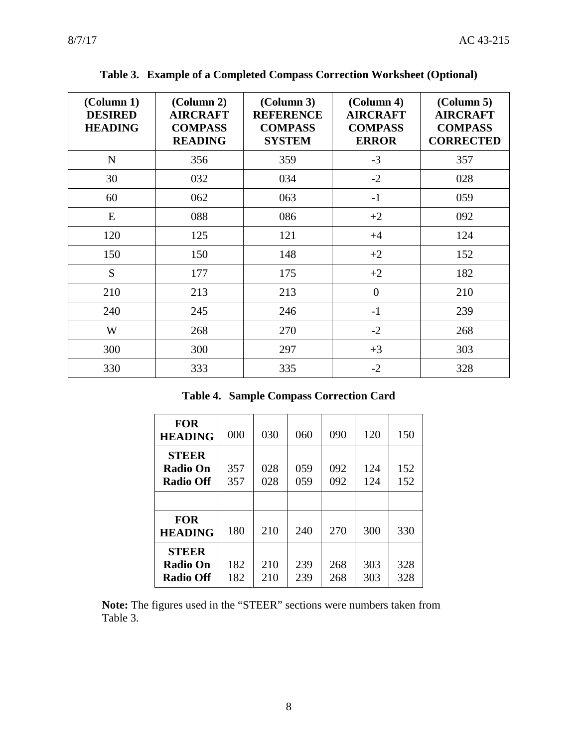<span id="page-7-0"></span>

| (Column 1)<br><b>DESIRED</b><br><b>HEADING</b> | (Column 2)<br><b>AIRCRAFT</b><br><b>COMPASS</b><br><b>READING</b> | (Column 3)<br><b>REFERENCE</b><br><b>COMPASS</b><br><b>SYSTEM</b> | (Column 4)<br><b>AIRCRAFT</b><br><b>COMPASS</b><br><b>ERROR</b> | $\left($ Column 5 $\right)$<br><b>AIRCRAFT</b><br><b>COMPASS</b><br><b>CORRECTED</b> |
|------------------------------------------------|-------------------------------------------------------------------|-------------------------------------------------------------------|-----------------------------------------------------------------|--------------------------------------------------------------------------------------|
| $\mathbf N$                                    | 356                                                               | 359                                                               | $-3$                                                            | 357                                                                                  |
| 30                                             | 032                                                               | 034                                                               | $-2$                                                            | 028                                                                                  |
| 60                                             | 062                                                               | 063                                                               | $-1$                                                            | 059                                                                                  |
| E                                              | 088                                                               | 086                                                               | $+2$                                                            | 092                                                                                  |
| 120                                            | 125                                                               | 121                                                               | $+4$                                                            | 124                                                                                  |
| 150                                            | 150                                                               | 148                                                               | $+2$                                                            | 152                                                                                  |
| S                                              | 177                                                               | 175                                                               | $+2$                                                            | 182                                                                                  |
| 210                                            | 213                                                               | 213                                                               | $\overline{0}$                                                  | 210                                                                                  |
| 240                                            | 245                                                               | 246                                                               | $-1$                                                            | 239                                                                                  |
| W                                              | 268                                                               | 270                                                               | $-2$                                                            | 268                                                                                  |
| 300                                            | 300                                                               | 297                                                               | $+3$                                                            | 303                                                                                  |
| 330                                            | 333                                                               | 335                                                               | $-2$                                                            | 328                                                                                  |

**Table 3. Example of a Completed Compass Correction Worksheet (Optional)**

**Table 4. Sample Compass Correction Card**

<span id="page-7-1"></span>

| <b>FOR</b><br><b>HEADING</b>                        | 000        | 030        | 060        | 090        | 120        | 150        |
|-----------------------------------------------------|------------|------------|------------|------------|------------|------------|
| <b>STEER</b><br><b>Radio On</b><br><b>Radio Off</b> | 357<br>357 | 028<br>028 | 059<br>059 | 092<br>092 | 124<br>124 | 152<br>152 |
|                                                     |            |            |            |            |            |            |
| <b>FOR</b><br><b>HEADING</b>                        | 180        | 210        | 240        | 270        | 300        | 330        |
| <b>STEER</b><br><b>Radio On</b><br><b>Radio Off</b> | 182<br>182 | 210<br>210 | 239<br>239 | 268<br>268 | 303<br>303 | 328<br>328 |

**Note:** The figures used in the "STEER" sections were numbers taken from Table 3.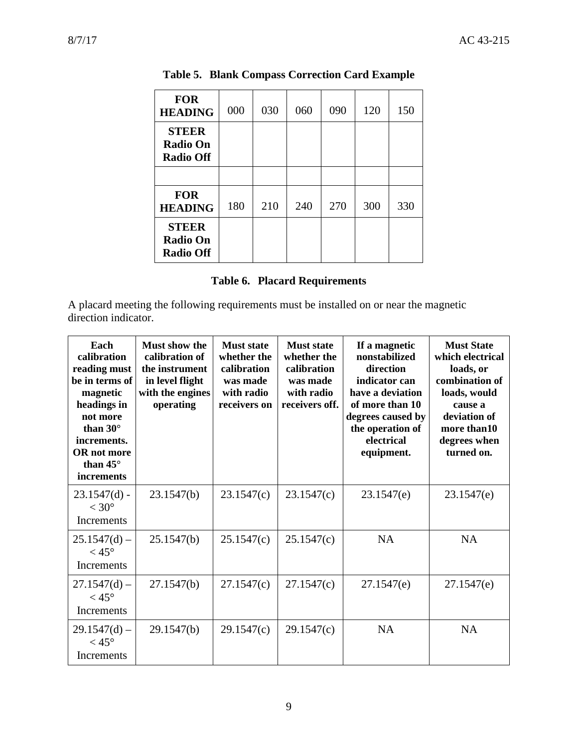<span id="page-8-0"></span>

| <b>FOR</b><br><b>HEADING</b>                        | 000 | 030 | 060 | 090 | 120 | 150 |
|-----------------------------------------------------|-----|-----|-----|-----|-----|-----|
| <b>STEER</b><br><b>Radio On</b><br><b>Radio Off</b> |     |     |     |     |     |     |
|                                                     |     |     |     |     |     |     |
| <b>FOR</b><br><b>HEADING</b>                        | 180 | 210 | 240 | 270 | 300 | 330 |
| <b>STEER</b><br><b>Radio On</b><br><b>Radio Off</b> |     |     |     |     |     |     |

**Table 5. Blank Compass Correction Card Example**

| <b>Table 6. Placard Requirements</b> |
|--------------------------------------|

<span id="page-8-1"></span>A placard meeting the following requirements must be installed on or near the magnetic direction indicator.

| Each<br>calibration<br>reading must<br>be in terms of<br>magnetic<br>headings in<br>not more<br>than $30^\circ$<br>increments.<br><b>OR</b> not more<br>than $45^{\circ}$<br><i>increments</i> | Must show the<br>calibration of<br>the instrument<br>in level flight<br>with the engines<br>operating | <b>Must state</b><br>whether the<br>calibration<br>was made<br>with radio<br>receivers on | <b>Must state</b><br>whether the<br>calibration<br>was made<br>with radio<br>receivers off. | If a magnetic<br>nonstabilized<br>direction<br>indicator can<br>have a deviation<br>of more than 10<br>degrees caused by<br>the operation of<br>electrical<br>equipment. | <b>Must State</b><br>which electrical<br>loads, or<br>combination of<br>loads, would<br>cause a<br>deviation of<br>more than 10<br>degrees when<br>turned on. |
|------------------------------------------------------------------------------------------------------------------------------------------------------------------------------------------------|-------------------------------------------------------------------------------------------------------|-------------------------------------------------------------------------------------------|---------------------------------------------------------------------------------------------|--------------------------------------------------------------------------------------------------------------------------------------------------------------------------|---------------------------------------------------------------------------------------------------------------------------------------------------------------|
| $23.1547(d)$ -<br>$< 30^{\circ}$<br>Increments                                                                                                                                                 | 23.1547(b)                                                                                            | 23.1547(c)                                                                                | 23.1547(c)                                                                                  | 23.1547(e)                                                                                                                                                               | 23.1547(e)                                                                                                                                                    |
| $25.1547(d)$ –<br>$< 45^{\circ}$<br><b>Increments</b>                                                                                                                                          | 25.1547(b)                                                                                            | 25.1547(c)                                                                                | 25.1547(c)                                                                                  | <b>NA</b>                                                                                                                                                                | <b>NA</b>                                                                                                                                                     |
| $27.1547(d)$ –<br>$<$ 45 $^{\circ}$<br>Increments                                                                                                                                              | 27.1547(b)                                                                                            | 27.1547(c)                                                                                | 27.1547(c)                                                                                  | 27.1547(e)                                                                                                                                                               | 27.1547(e)                                                                                                                                                    |
| $29.1547(d)$ –<br>$<$ 45 $^{\circ}$<br><b>Increments</b>                                                                                                                                       | 29.1547(b)                                                                                            | 29.1547(c)                                                                                | 29.1547(c)                                                                                  | <b>NA</b>                                                                                                                                                                | <b>NA</b>                                                                                                                                                     |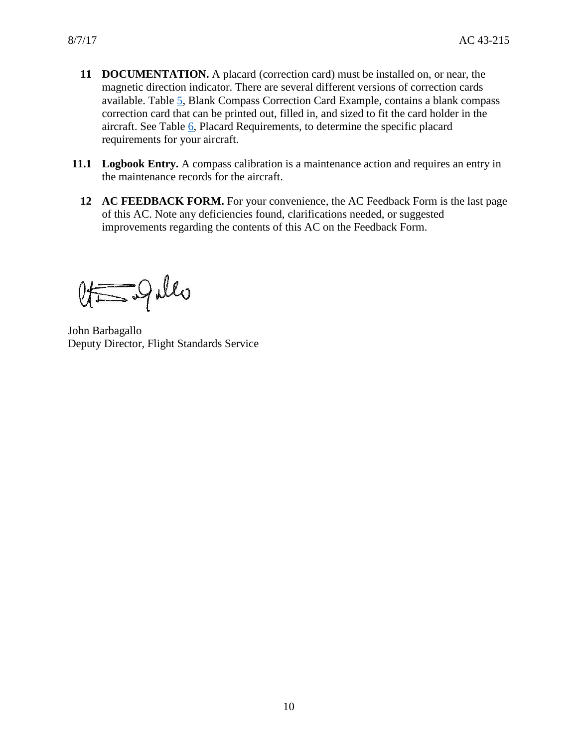- **11 DOCUMENTATION.** A placard (correction card) must be installed on, or near, the magnetic direction indicator. There are several different versions of correction cards available. Table [5,](#page-8-0) Blank Compass Correction Card Example, contains a blank compass correction card that can be printed out, filled in, and sized to fit the card holder in the aircraft. See Table [6,](#page-8-1) Placard Requirements, to determine the specific placard requirements for your aircraft.
- <span id="page-9-0"></span>**11.1 Logbook Entry.** A compass calibration is a maintenance action and requires an entry in the maintenance records for the aircraft.
	- **12 AC FEEDBACK FORM.** For your convenience, the AC Feedback Form is the last page of this AC. Note any deficiencies found, clarifications needed, or suggested improvements regarding the contents of this AC on the Feedback Form.

 $\&$  of  $Q$  also

John Barbagallo Deputy Director, Flight Standards Service